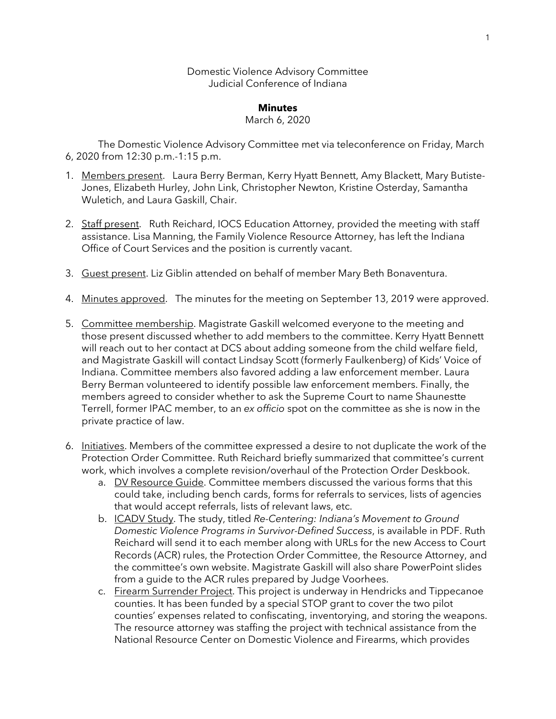Domestic Violence Advisory Committee Judicial Conference of Indiana

#### **Minutes**

#### March 6, 2020

The Domestic Violence Advisory Committee met via teleconference on Friday, March 6, 2020 from 12:30 p.m.-1:15 p.m.

- 1. Members present. Laura Berry Berman, Kerry Hyatt Bennett, Amy Blackett, Mary Butiste-Jones, Elizabeth Hurley, John Link, Christopher Newton, Kristine Osterday, Samantha Wuletich, and Laura Gaskill, Chair.
- 2. Staff present. Ruth Reichard, IOCS Education Attorney, provided the meeting with staff assistance. Lisa Manning, the Family Violence Resource Attorney, has left the Indiana Office of Court Services and the position is currently vacant.
- 3. Guest present. Liz Giblin attended on behalf of member Mary Beth Bonaventura.
- 4. Minutes approved. The minutes for the meeting on September 13, 2019 were approved.
- 5. Committee membership. Magistrate Gaskill welcomed everyone to the meeting and those present discussed whether to add members to the committee. Kerry Hyatt Bennett will reach out to her contact at DCS about adding someone from the child welfare field, and Magistrate Gaskill will contact Lindsay Scott (formerly Faulkenberg) of Kids' Voice of Indiana. Committee members also favored adding a law enforcement member. Laura Berry Berman volunteered to identify possible law enforcement members. Finally, the members agreed to consider whether to ask the Supreme Court to name Shaunestte Terrell, former IPAC member, to an *ex officio* spot on the committee as she is now in the private practice of law.
- 6. Initiatives. Members of the committee expressed a desire to not duplicate the work of the Protection Order Committee. Ruth Reichard briefly summarized that committee's current work, which involves a complete revision/overhaul of the Protection Order Deskbook.
	- a. DV Resource Guide. Committee members discussed the various forms that this could take, including bench cards, forms for referrals to services, lists of agencies that would accept referrals, lists of relevant laws, etc.
	- b. ICADV Study. The study, titled *Re-Centering: Indiana's Movement to Ground Domestic Violence Programs in Survivor-Defined Success*, is available in PDF. Ruth Reichard will send it to each member along with URLs for the new Access to Court Records (ACR) rules, the Protection Order Committee, the Resource Attorney, and the committee's own website. Magistrate Gaskill will also share PowerPoint slides from a guide to the ACR rules prepared by Judge Voorhees.
	- c. Firearm Surrender Project. This project is underway in Hendricks and Tippecanoe counties. It has been funded by a special STOP grant to cover the two pilot counties' expenses related to confiscating, inventorying, and storing the weapons. The resource attorney was staffing the project with technical assistance from the National Resource Center on Domestic Violence and Firearms, which provides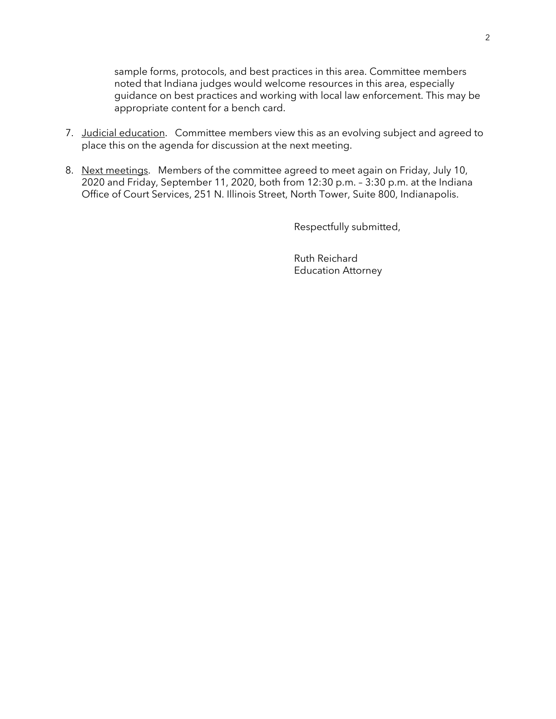sample forms, protocols, and best practices in this area. Committee members noted that Indiana judges would welcome resources in this area, especially guidance on best practices and working with local law enforcement. This may be appropriate content for a bench card.

- 7. Judicial education. Committee members view this as an evolving subject and agreed to place this on the agenda for discussion at the next meeting.
- 8. Next meetings. Members of the committee agreed to meet again on Friday, July 10, 2020 and Friday, September 11, 2020, both from 12:30 p.m. – 3:30 p.m. at the Indiana Office of Court Services, 251 N. Illinois Street, North Tower, Suite 800, Indianapolis.

Respectfully submitted,

Ruth Reichard Education Attorney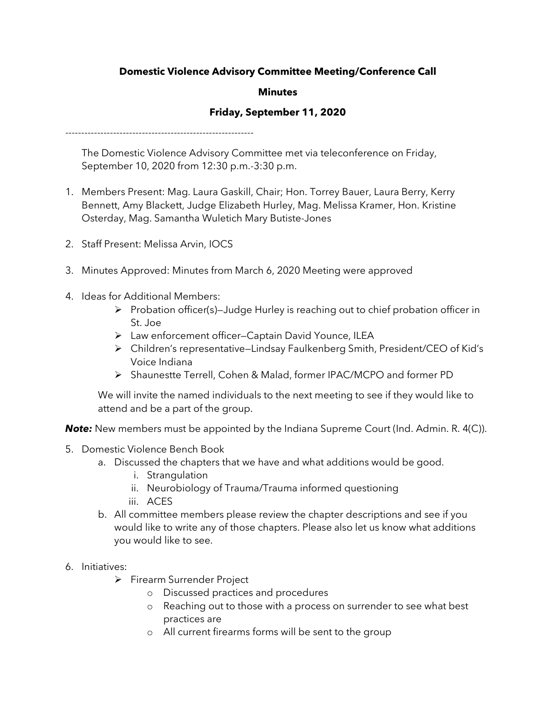# **Domestic Violence Advisory Committee Meeting/Conference Call**

## **Minutes**

## **Friday, September 11, 2020**

-----------------------------------------------------------

The Domestic Violence Advisory Committee met via teleconference on Friday, September 10, 2020 from 12:30 p.m.-3:30 p.m.

- 1. Members Present: Mag. Laura Gaskill, Chair; Hon. Torrey Bauer, Laura Berry, Kerry Bennett, Amy Blackett, Judge Elizabeth Hurley, Mag. Melissa Kramer, Hon. Kristine Osterday, Mag. Samantha Wuletich Mary Butiste-Jones
- 2. Staff Present: Melissa Arvin, IOCS
- 3. Minutes Approved: Minutes from March 6, 2020 Meeting were approved
- 4. Ideas for Additional Members:
	- $\triangleright$  Probation officer(s)–Judge Hurley is reaching out to chief probation officer in St. Joe
	- Law enforcement officer—Captain David Younce, ILEA
	- Children's representative—Lindsay Faulkenberg Smith, President/CEO of Kid's Voice Indiana
	- Shaunestte Terrell, Cohen & Malad, former IPAC/MCPO and former PD

We will invite the named individuals to the next meeting to see if they would like to attend and be a part of the group.

**Note:** New members must be appointed by the Indiana Supreme Court (Ind. Admin. R. 4(C)).

- 5. Domestic Violence Bench Book
	- a. Discussed the chapters that we have and what additions would be good.
		- i. Strangulation
			- ii. Neurobiology of Trauma/Trauma informed questioning
		- iii. ACES
	- b. All committee members please review the chapter descriptions and see if you would like to write any of those chapters. Please also let us know what additions you would like to see.
- 6. Initiatives:
	- > Firearm Surrender Project
		- o Discussed practices and procedures
		- o Reaching out to those with a process on surrender to see what best practices are
		- o All current firearms forms will be sent to the group